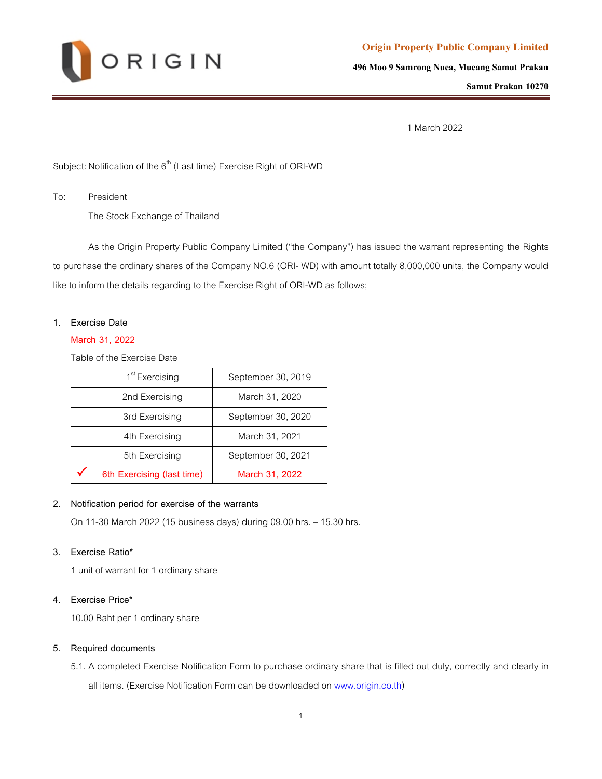

**Origin Property Public Company Limited** 

**496 Moo 9 Samrong Nuea, Mueang Samut Prakan**

**Samut Prakan 10270**

1 March 2022

Subject: Notification of the  $6<sup>th</sup>$  (Last time) Exercise Right of ORI-WD

To: President

The Stock Exchange of Thailand

As the Origin Property Public Company Limited ("the Company") has issued the warrant representing the Rights to purchase the ordinary shares of the Company NO.6 (ORI- WD) with amount totally 8,000,000 units, the Company would like to inform the details regarding to the Exercise Right of ORI-WD as follows;

#### **1. Exercise Date**

#### **March 31, 2022**

Table of the Exercise Date

| 1 <sup>st</sup> Exercising | September 30, 2019 |
|----------------------------|--------------------|
| 2nd Exercising             | March 31, 2020     |
| 3rd Exercising             | September 30, 2020 |
| 4th Exercising             | March 31, 2021     |
| 5th Exercising             | September 30, 2021 |
| 6th Exercising (last time) | March 31, 2022     |

## **2. Notification period for exercise of the warrants**

On 11-30 March 2022 (15 business days) during 09.00 hrs. – 15.30 hrs.

## **3. Exercise Ratio\***

1 unit of warrant for 1 ordinary share

## **4. Exercise Price\***

10.00 Baht per 1 ordinary share

#### **5. Required documents**

5.1. A completed Exercise Notification Form to purchase ordinary share that is filled out duly, correctly and clearly in

all items. (Exercise Notification Form can be downloaded on [www.origin.co.th\)](http://www.origin.co.th/)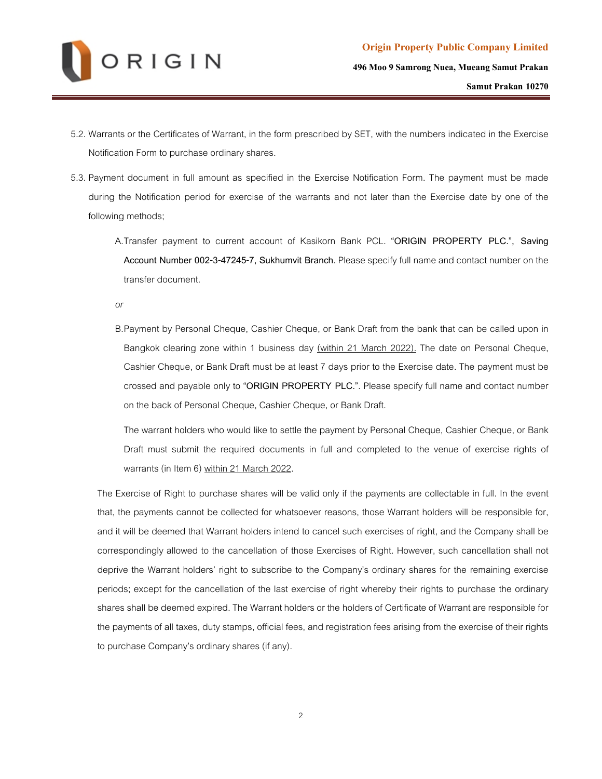

- 5.2. Warrants or the Certificates of Warrant, in the form prescribed by SET, with the numbers indicated in the Exercise Notification Form to purchase ordinary shares.
- 5.3. Payment document in full amount as specified in the Exercise Notification Form. The payment must be made during the Notification period for exercise of the warrants and not later than the Exercise date by one of the following methods;
	- A.Transfer payment to current account of Kasikorn Bank PCL. **"ORIGIN PROPERTY PLC.", Saving Account Number 002-3-47245-7, Sukhumvit Branch.** Please specify full name and contact number on the transfer document.

*or*

B.Payment by Personal Cheque, Cashier Cheque, or Bank Draft from the bank that can be called upon in Bangkok clearing zone within 1 business day (within 21 March 2022). The date on Personal Cheque, Cashier Cheque, or Bank Draft must be at least 7 days prior to the Exercise date. The payment must be crossed and payable only to **"ORIGIN PROPERTY PLC."**. Please specify full name and contact number on the back of Personal Cheque, Cashier Cheque, or Bank Draft.

The warrant holders who would like to settle the payment by Personal Cheque, Cashier Cheque, or Bank Draft must submit the required documents in full and completed to the venue of exercise rights of warrants (in Item 6) within 21 March 2022.

The Exercise of Right to purchase shares will be valid only if the payments are collectable in full. In the event that, the payments cannot be collected for whatsoever reasons, those Warrant holders will be responsible for, and it will be deemed that Warrant holders intend to cancel such exercises of right, and the Company shall be correspondingly allowed to the cancellation of those Exercises of Right. However, such cancellation shall not deprive the Warrant holders' right to subscribe to the Company's ordinary shares for the remaining exercise periods; except for the cancellation of the last exercise of right whereby their rights to purchase the ordinary shares shall be deemed expired. The Warrant holders or the holders of Certificate of Warrant are responsible for the payments of all taxes, duty stamps, official fees, and registration fees arising from the exercise of their rights to purchase Company's ordinary shares (if any).